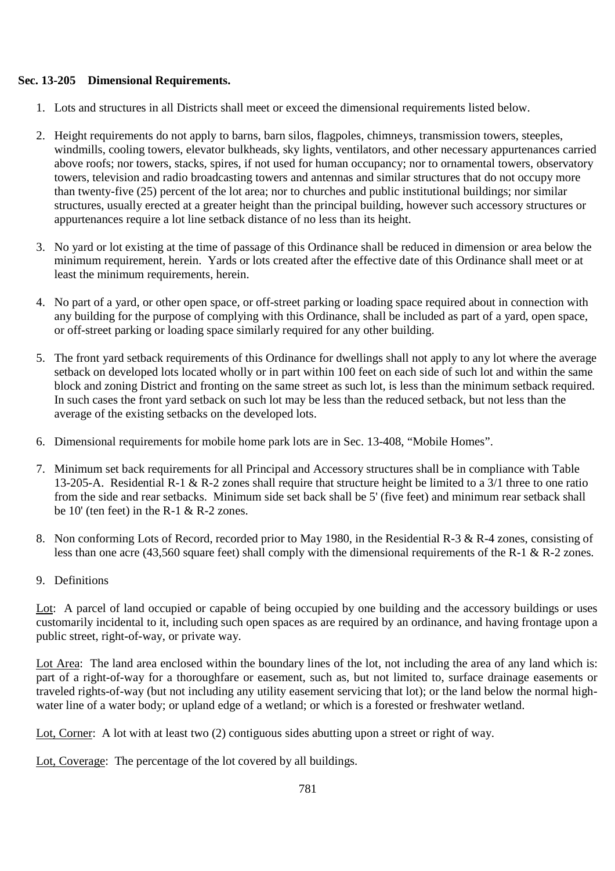## **Sec. 13-205 Dimensional Requirements.**

- 1. Lots and structures in all Districts shall meet or exceed the dimensional requirements listed below.
- 2. Height requirements do not apply to barns, barn silos, flagpoles, chimneys, transmission towers, steeples, windmills, cooling towers, elevator bulkheads, sky lights, ventilators, and other necessary appurtenances carried above roofs; nor towers, stacks, spires, if not used for human occupancy; nor to ornamental towers, observatory towers, television and radio broadcasting towers and antennas and similar structures that do not occupy more than twenty-five (25) percent of the lot area; nor to churches and public institutional buildings; nor similar structures, usually erected at a greater height than the principal building, however such accessory structures or appurtenances require a lot line setback distance of no less than its height.
- 3. No yard or lot existing at the time of passage of this Ordinance shall be reduced in dimension or area below the minimum requirement, herein. Yards or lots created after the effective date of this Ordinance shall meet or at least the minimum requirements, herein.
- 4. No part of a yard, or other open space, or off-street parking or loading space required about in connection with any building for the purpose of complying with this Ordinance, shall be included as part of a yard, open space, or off-street parking or loading space similarly required for any other building.
- 5. The front yard setback requirements of this Ordinance for dwellings shall not apply to any lot where the average setback on developed lots located wholly or in part within 100 feet on each side of such lot and within the same block and zoning District and fronting on the same street as such lot, is less than the minimum setback required. In such cases the front yard setback on such lot may be less than the reduced setback, but not less than the average of the existing setbacks on the developed lots.
- 6. Dimensional requirements for mobile home park lots are in Sec. 13-408, "Mobile Homes".
- 7. Minimum set back requirements for all Principal and Accessory structures shall be in compliance with Table 13-205-A. Residential R-1 & R-2 zones shall require that structure height be limited to a 3/1 three to one ratio from the side and rear setbacks. Minimum side set back shall be 5' (five feet) and minimum rear setback shall be  $10'$  (ten feet) in the R-1 & R-2 zones.
- 8. Non conforming Lots of Record, recorded prior to May 1980, in the Residential R-3 & R-4 zones, consisting of less than one acre (43,560 square feet) shall comply with the dimensional requirements of the R-1 & R-2 zones.
- 9. Definitions

Lot: A parcel of land occupied or capable of being occupied by one building and the accessory buildings or uses customarily incidental to it, including such open spaces as are required by an ordinance, and having frontage upon a public street, right-of-way, or private way.

Lot Area: The land area enclosed within the boundary lines of the lot, not including the area of any land which is: part of a right-of-way for a thoroughfare or easement, such as, but not limited to, surface drainage easements or traveled rights-of-way (but not including any utility easement servicing that lot); or the land below the normal highwater line of a water body; or upland edge of a wetland; or which is a forested or freshwater wetland.

Lot, Corner: A lot with at least two (2) contiguous sides abutting upon a street or right of way.

Lot, Coverage: The percentage of the lot covered by all buildings.